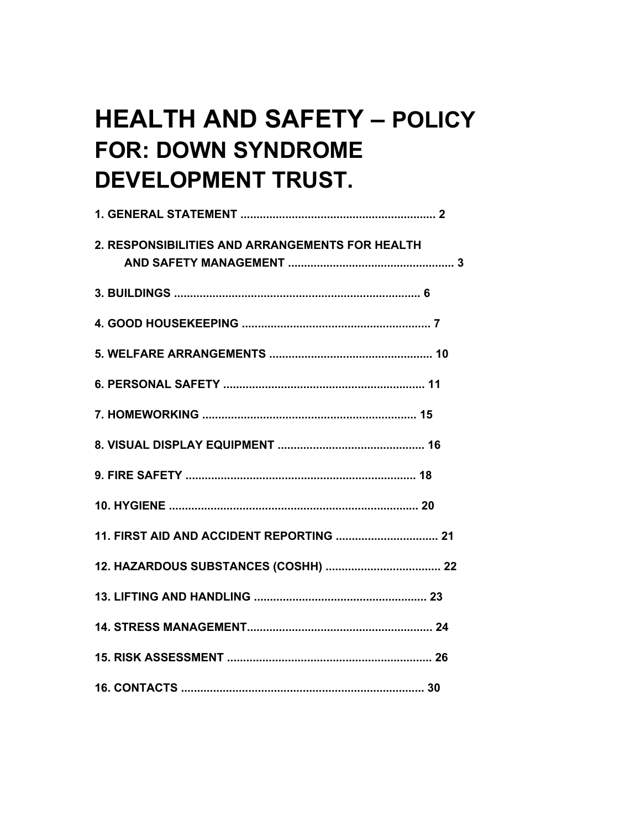# **HEALTH AND SAFETY - POLICY FOR: DOWN SYNDROME DEVELOPMENT TRUST.**

| 2. RESPONSIBILITIES AND ARRANGEMENTS FOR HEALTH |
|-------------------------------------------------|
|                                                 |
|                                                 |
|                                                 |
|                                                 |
|                                                 |
|                                                 |
|                                                 |
|                                                 |
|                                                 |
|                                                 |
|                                                 |
|                                                 |
|                                                 |
|                                                 |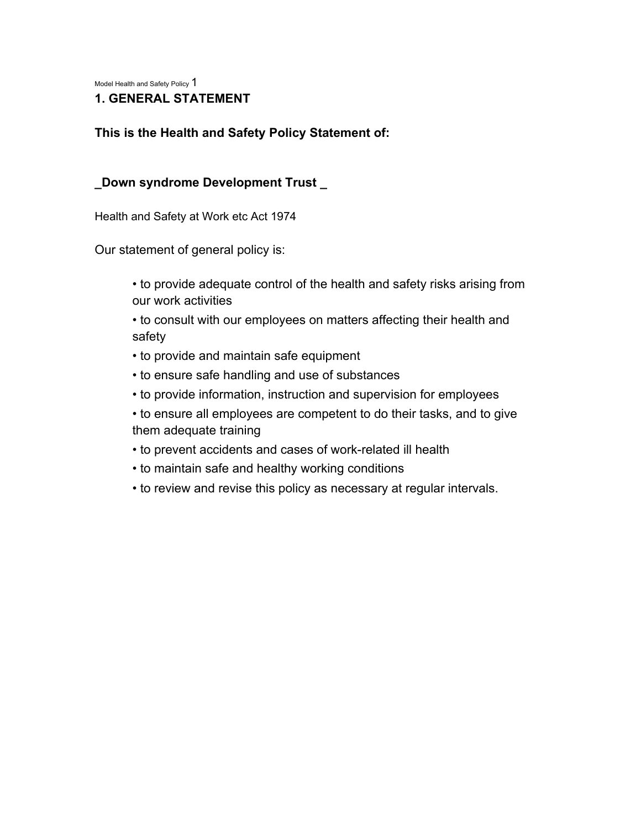Model Health and Safety Policy 1

### **1. GENERAL STATEMENT**

#### **This is the Health and Safety Policy Statement of:**

#### **\_Down syndrome Development Trust \_**

Health and Safety at Work etc Act 1974

Our statement of general policy is:

• to provide adequate control of the health and safety risks arising from our work activities

• to consult with our employees on matters affecting their health and safety

- to provide and maintain safe equipment
- to ensure safe handling and use of substances
- to provide information, instruction and supervision for employees
- to ensure all employees are competent to do their tasks, and to give them adequate training
- to prevent accidents and cases of work-related ill health
- to maintain safe and healthy working conditions
- to review and revise this policy as necessary at regular intervals.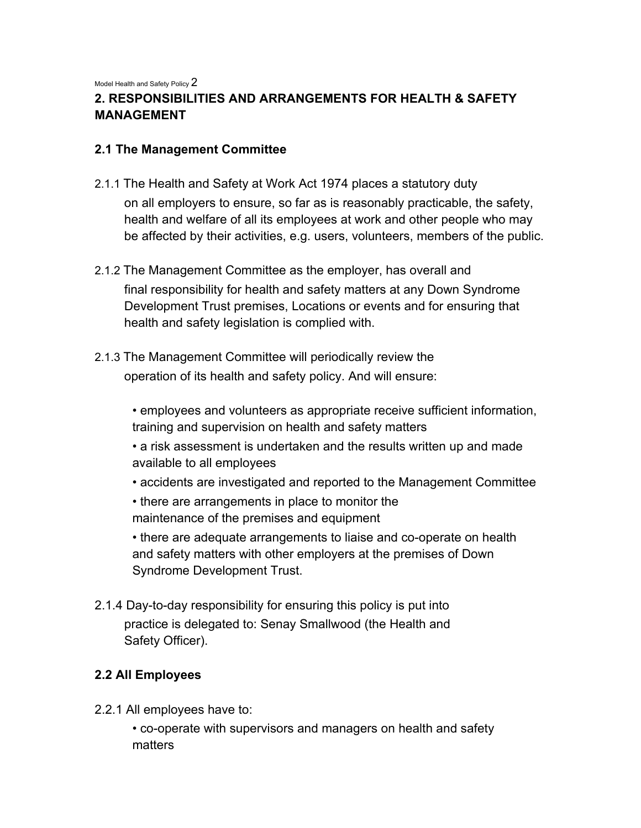Model Health and Safety Policy 2

# **2. RESPONSIBILITIES AND ARRANGEMENTS FOR HEALTH & SAFETY MANAGEMENT**

### **2.1 The Management Committee**

- 2.1.1 The Health and Safety at Work Act 1974 places a statutory duty on all employers to ensure, so far as is reasonably practicable, the safety, health and welfare of all its employees at work and other people who may be affected by their activities, e.g. users, volunteers, members of the public.
- 2.1.2 The Management Committee as the employer, has overall and final responsibility for health and safety matters at any Down Syndrome Development Trust premises, Locations or events and for ensuring that health and safety legislation is complied with.
- 2.1.3 The Management Committee will periodically review the operation of its health and safety policy. And will ensure:

• employees and volunteers as appropriate receive sufficient information, training and supervision on health and safety matters

- a risk assessment is undertaken and the results written up and made available to all employees
- accidents are investigated and reported to the Management Committee
- there are arrangements in place to monitor the maintenance of the premises and equipment

• there are adequate arrangements to liaise and co-operate on health and safety matters with other employers at the premises of Down Syndrome Development Trust.

2.1.4 Day-to-day responsibility for ensuring this policy is put into practice is delegated to: Senay Smallwood (the Health and Safety Officer).

### **2.2 All Employees**

2.2.1 All employees have to:

• co-operate with supervisors and managers on health and safety matters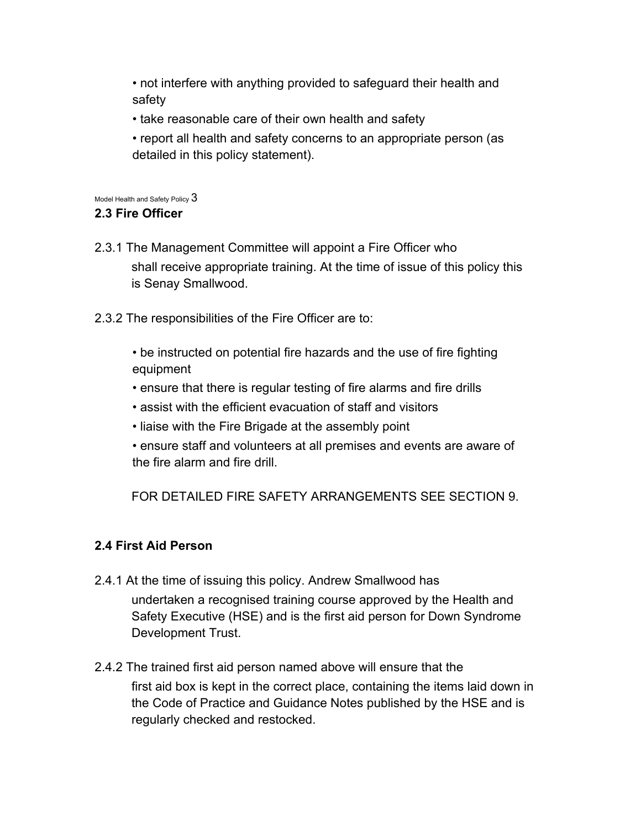• not interfere with anything provided to safeguard their health and safety

- take reasonable care of their own health and safety
- report all health and safety concerns to an appropriate person (as detailed in this policy statement).

Model Health and Safety Policy  $3$ 

### **2.3 Fire Officer**

- 2.3.1 The Management Committee will appoint a Fire Officer who shall receive appropriate training. At the time of issue of this policy this is Senay Smallwood.
- 2.3.2 The responsibilities of the Fire Officer are to:
	- be instructed on potential fire hazards and the use of fire fighting equipment
	- ensure that there is regular testing of fire alarms and fire drills
	- assist with the efficient evacuation of staff and visitors
	- liaise with the Fire Brigade at the assembly point
	- ensure staff and volunteers at all premises and events are aware of the fire alarm and fire drill.

FOR DETAILED FIRE SAFETY ARRANGEMENTS SEE SECTION 9.

# **2.4 First Aid Person**

- 2.4.1 At the time of issuing this policy. Andrew Smallwood has undertaken a recognised training course approved by the Health and Safety Executive (HSE) and is the first aid person for Down Syndrome Development Trust.
- 2.4.2 The trained first aid person named above will ensure that the first aid box is kept in the correct place, containing the items laid down in the Code of Practice and Guidance Notes published by the HSE and is regularly checked and restocked.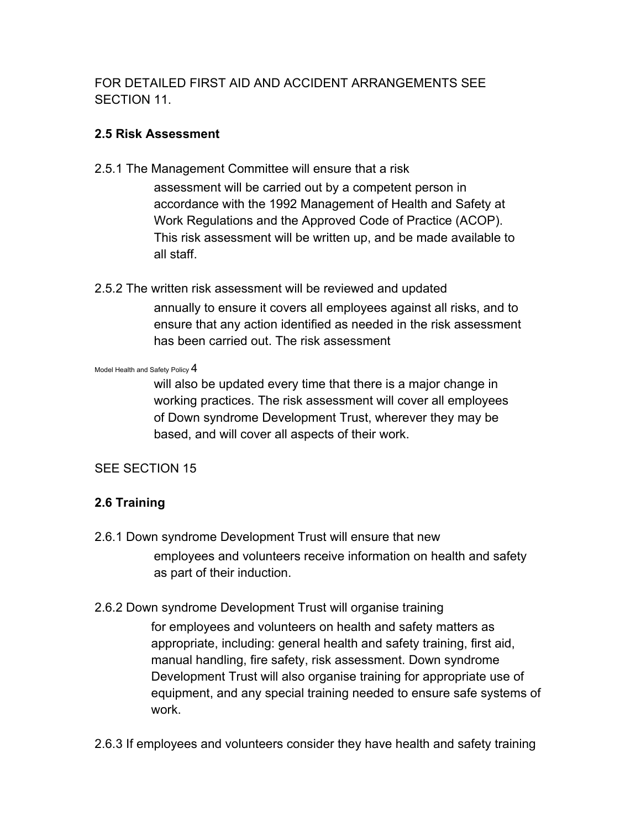FOR DETAILED FIRST AID AND ACCIDENT ARRANGEMENTS SEE SECTION 11.

# **2.5 Risk Assessment**

2.5.1 The Management Committee will ensure that a risk

assessment will be carried out by a competent person in accordance with the 1992 Management of Health and Safety at Work Regulations and the Approved Code of Practice (ACOP). This risk assessment will be written up, and be made available to all staff.

2.5.2 The written risk assessment will be reviewed and updated

annually to ensure it covers all employees against all risks, and to ensure that any action identified as needed in the risk assessment has been carried out. The risk assessment

Model Health and Safety Policy 4

will also be updated every time that there is a major change in working practices. The risk assessment will cover all employees of Down syndrome Development Trust, wherever they may be based, and will cover all aspects of their work.

# SEE SECTION 15

# **2.6 Training**

- 2.6.1 Down syndrome Development Trust will ensure that new employees and volunteers receive information on health and safety as part of their induction.
- 2.6.2 Down syndrome Development Trust will organise training

for employees and volunteers on health and safety matters as appropriate, including: general health and safety training, first aid, manual handling, fire safety, risk assessment. Down syndrome Development Trust will also organise training for appropriate use of equipment, and any special training needed to ensure safe systems of work.

2.6.3 If employees and volunteers consider they have health and safety training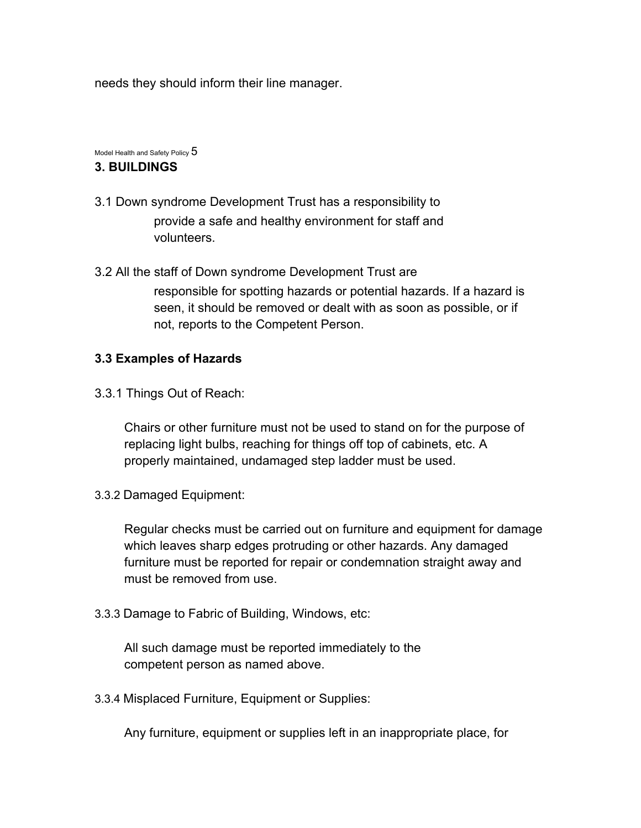needs they should inform their line manager.

Model Health and Safety Policy  $5$ 

#### **3. BUILDINGS**

- 3.1 Down syndrome Development Trust has a responsibility to provide a safe and healthy environment for staff and volunteers.
- 3.2 All the staff of Down syndrome Development Trust are responsible for spotting hazards or potential hazards. If a hazard is seen, it should be removed or dealt with as soon as possible, or if not, reports to the Competent Person.

### **3.3 Examples of Hazards**

3.3.1 Things Out of Reach:

Chairs or other furniture must not be used to stand on for the purpose of replacing light bulbs, reaching for things off top of cabinets, etc. A properly maintained, undamaged step ladder must be used.

3.3.2 Damaged Equipment:

Regular checks must be carried out on furniture and equipment for damage which leaves sharp edges protruding or other hazards. Any damaged furniture must be reported for repair or condemnation straight away and must be removed from use.

3.3.3 Damage to Fabric of Building, Windows, etc:

All such damage must be reported immediately to the competent person as named above.

3.3.4 Misplaced Furniture, Equipment or Supplies:

Any furniture, equipment or supplies left in an inappropriate place, for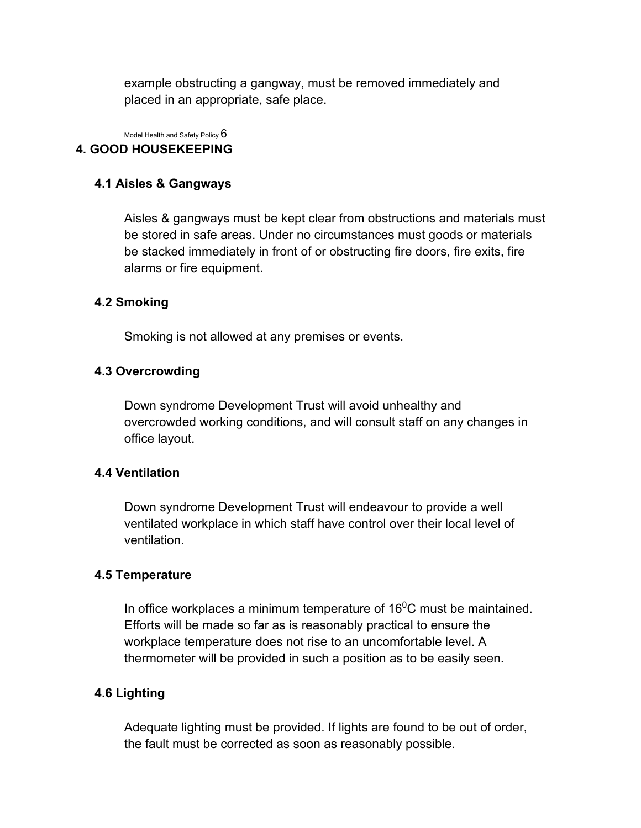example obstructing a gangway, must be removed immediately and placed in an appropriate, safe place.

Model Health and Safety Policy  $6$ 

# **4. GOOD HOUSEKEEPING**

### **4.1 Aisles & Gangways**

Aisles & gangways must be kept clear from obstructions and materials must be stored in safe areas. Under no circumstances must goods or materials be stacked immediately in front of or obstructing fire doors, fire exits, fire alarms or fire equipment.

### **4.2 Smoking**

Smoking is not allowed at any premises or events.

### **4.3 Overcrowding**

Down syndrome Development Trust will avoid unhealthy and overcrowded working conditions, and will consult staff on any changes in office layout.

### **4.4 Ventilation**

Down syndrome Development Trust will endeavour to provide a well ventilated workplace in which staff have control over their local level of ventilation.

### **4.5 Temperature**

In office workplaces a minimum temperature of  $16^0$ C must be maintained. Efforts will be made so far as is reasonably practical to ensure the workplace temperature does not rise to an uncomfortable level. A thermometer will be provided in such a position as to be easily seen.

### **4.6 Lighting**

Adequate lighting must be provided. If lights are found to be out of order, the fault must be corrected as soon as reasonably possible.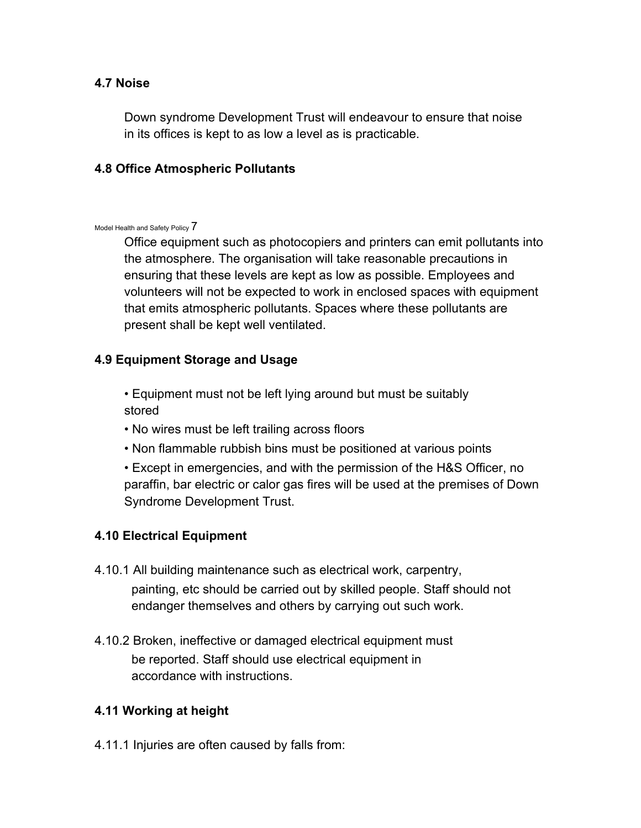### **4.7 Noise**

Down syndrome Development Trust will endeavour to ensure that noise in its offices is kept to as low a level as is practicable.

### **4.8 Office Atmospheric Pollutants**

#### Model Health and Safety Policy 7

Office equipment such as photocopiers and printers can emit pollutants into the atmosphere. The organisation will take reasonable precautions in ensuring that these levels are kept as low as possible. Employees and volunteers will not be expected to work in enclosed spaces with equipment that emits atmospheric pollutants. Spaces where these pollutants are present shall be kept well ventilated.

### **4.9 Equipment Storage and Usage**

• Equipment must not be left lying around but must be suitably stored

- No wires must be left trailing across floors
- Non flammable rubbish bins must be positioned at various points
- Except in emergencies, and with the permission of the H&S Officer, no paraffin, bar electric or calor gas fires will be used at the premises of Down Syndrome Development Trust.

### **4.10 Electrical Equipment**

- 4.10.1 All building maintenance such as electrical work, carpentry, painting, etc should be carried out by skilled people. Staff should not endanger themselves and others by carrying out such work.
- 4.10.2 Broken, ineffective or damaged electrical equipment must be reported. Staff should use electrical equipment in accordance with instructions.

# **4.11 Working at height**

4.11.1 Injuries are often caused by falls from: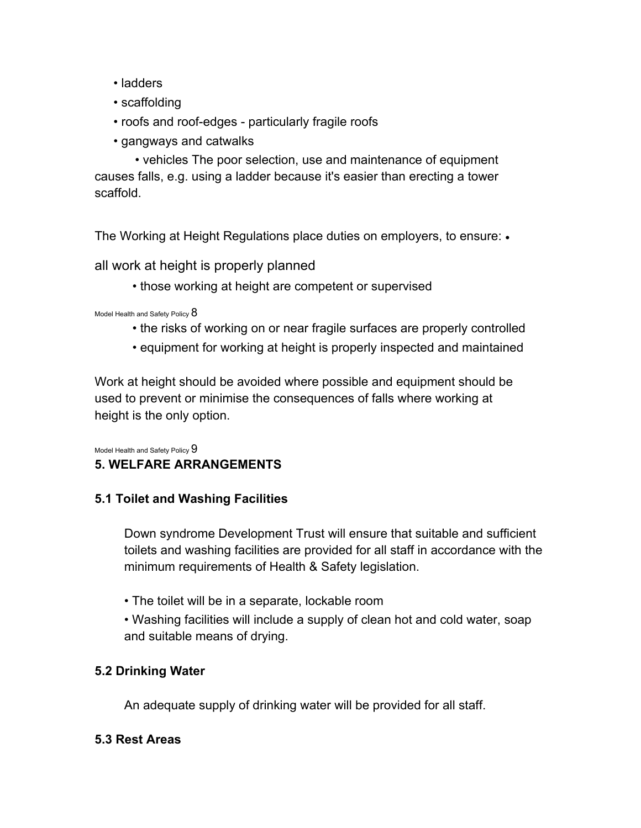- ladders
- scaffolding
- roofs and roof-edges particularly fragile roofs
- gangways and catwalks

• vehicles The poor selection, use and maintenance of equipment causes falls, e.g. using a ladder because it's easier than erecting a tower scaffold.

The Working at Height Regulations place duties on employers, to ensure: •

all work at height is properly planned

• those working at height are competent or supervised

Model Health and Safety Policy  $8$ 

- the risks of working on or near fragile surfaces are properly controlled
- equipment for working at height is properly inspected and maintained

Work at height should be avoided where possible and equipment should be used to prevent or minimise the consequences of falls where working at height is the only option.

Model Health and Safety Policy  $9$ 

# **5. WELFARE ARRANGEMENTS**

### **5.1 Toilet and Washing Facilities**

Down syndrome Development Trust will ensure that suitable and sufficient toilets and washing facilities are provided for all staff in accordance with the minimum requirements of Health & Safety legislation.

• The toilet will be in a separate, lockable room

• Washing facilities will include a supply of clean hot and cold water, soap and suitable means of drying.

# **5.2 Drinking Water**

An adequate supply of drinking water will be provided for all staff.

### **5.3 Rest Areas**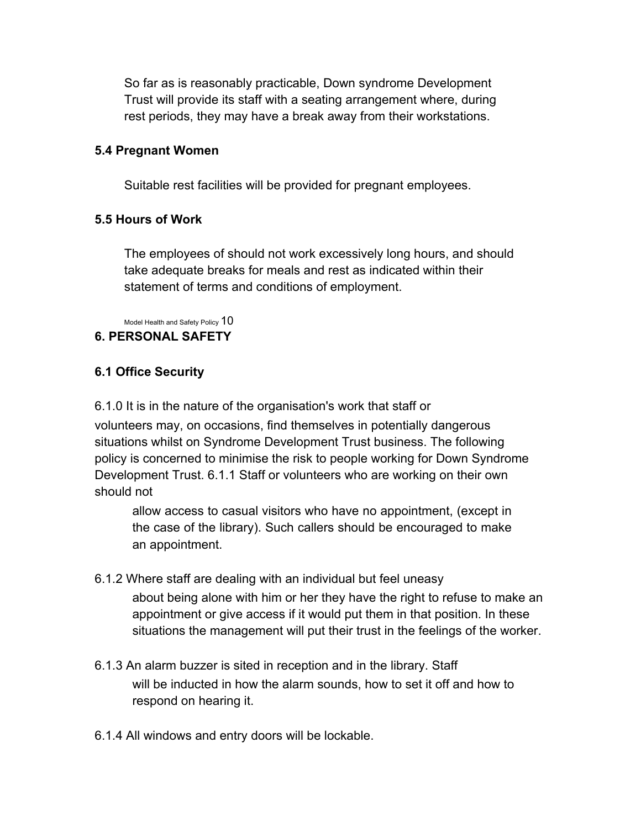So far as is reasonably practicable, Down syndrome Development Trust will provide its staff with a seating arrangement where, during rest periods, they may have a break away from their workstations.

### **5.4 Pregnant Women**

Suitable rest facilities will be provided for pregnant employees.

#### **5.5 Hours of Work**

The employees of should not work excessively long hours, and should take adequate breaks for meals and rest as indicated within their statement of terms and conditions of employment.

Model Health and Safety Policy  $10$ 

#### **6. PERSONAL SAFETY**

### **6.1 Office Security**

6.1.0 It is in the nature of the organisation's work that staff or

volunteers may, on occasions, find themselves in potentially dangerous situations whilst on Syndrome Development Trust business. The following policy is concerned to minimise the risk to people working for Down Syndrome Development Trust. 6.1.1 Staff or volunteers who are working on their own should not

allow access to casual visitors who have no appointment, (except in the case of the library). Such callers should be encouraged to make an appointment.

#### 6.1.2 Where staff are dealing with an individual but feel uneasy

about being alone with him or her they have the right to refuse to make an appointment or give access if it would put them in that position. In these situations the management will put their trust in the feelings of the worker.

- 6.1.3 An alarm buzzer is sited in reception and in the library. Staff will be inducted in how the alarm sounds, how to set it off and how to respond on hearing it.
- 6.1.4 All windows and entry doors will be lockable.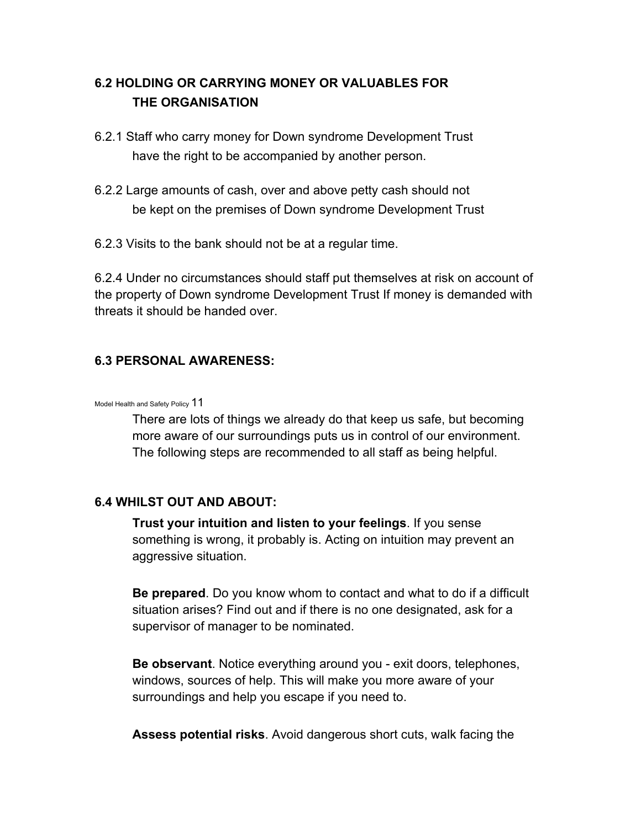# **6.2 HOLDING OR CARRYING MONEY OR VALUABLES FOR THE ORGANISATION**

- 6.2.1 Staff who carry money for Down syndrome Development Trust have the right to be accompanied by another person.
- 6.2.2 Large amounts of cash, over and above petty cash should not be kept on the premises of Down syndrome Development Trust
- 6.2.3 Visits to the bank should not be at a regular time.

6.2.4 Under no circumstances should staff put themselves at risk on account of the property of Down syndrome Development Trust If money is demanded with threats it should be handed over.

### **6.3 PERSONAL AWARENESS:**

#### Model Health and Safety Policy 11

There are lots of things we already do that keep us safe, but becoming more aware of our surroundings puts us in control of our environment. The following steps are recommended to all staff as being helpful.

### **6.4 WHILST OUT AND ABOUT:**

**Trust your intuition and listen to your feelings**. If you sense something is wrong, it probably is. Acting on intuition may prevent an aggressive situation.

**Be prepared**. Do you know whom to contact and what to do if a difficult situation arises? Find out and if there is no one designated, ask for a supervisor of manager to be nominated.

**Be observant**. Notice everything around you - exit doors, telephones, windows, sources of help. This will make you more aware of your surroundings and help you escape if you need to.

**Assess potential risks**. Avoid dangerous short cuts, walk facing the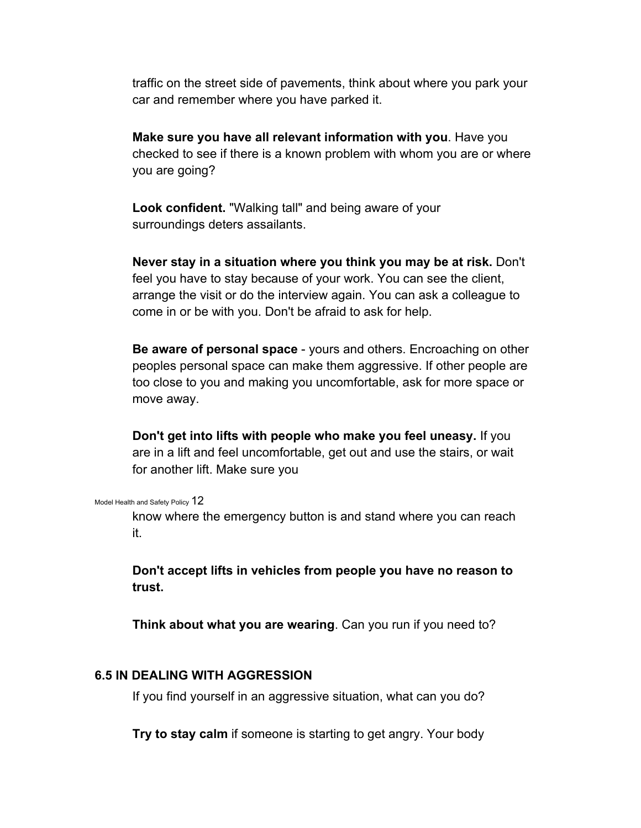traffic on the street side of pavements, think about where you park your car and remember where you have parked it.

**Make sure you have all relevant information with you**. Have you checked to see if there is a known problem with whom you are or where you are going?

**Look confident.** "Walking tall" and being aware of your surroundings deters assailants.

**Never stay in a situation where you think you may be at risk.** Don't feel you have to stay because of your work. You can see the client, arrange the visit or do the interview again. You can ask a colleague to come in or be with you. Don't be afraid to ask for help.

**Be aware of personal space** - yours and others. Encroaching on other peoples personal space can make them aggressive. If other people are too close to you and making you uncomfortable, ask for more space or move away.

**Don't get into lifts with people who make you feel uneasy.** If you are in a lift and feel uncomfortable, get out and use the stairs, or wait for another lift. Make sure you

Model Health and Safety Policy 12

know where the emergency button is and stand where you can reach it.

**Don't accept lifts in vehicles from people you have no reason to trust.** 

**Think about what you are wearing**. Can you run if you need to?

#### **6.5 IN DEALING WITH AGGRESSION**

If you find yourself in an aggressive situation, what can you do?

**Try to stay calm** if someone is starting to get angry. Your body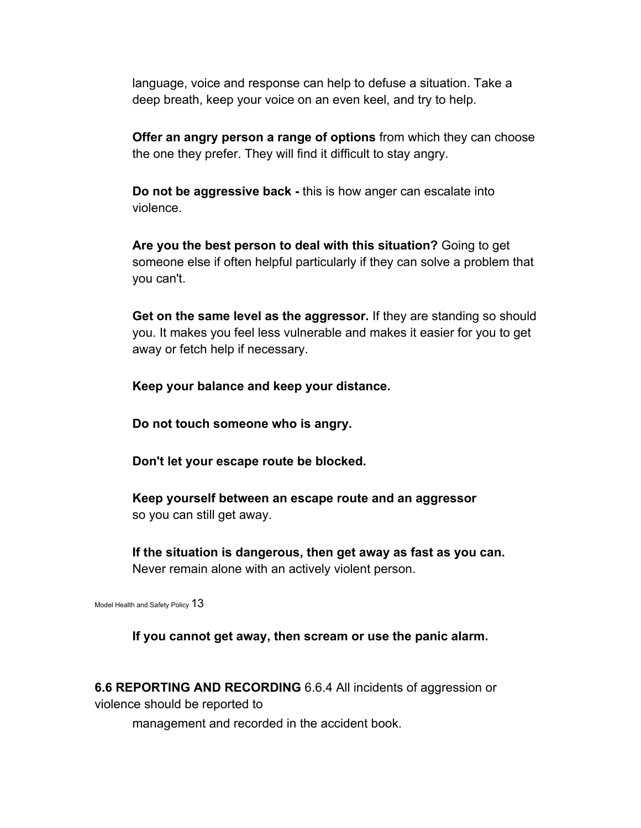language, voice and response can help to defuse a situation. Take a deep breath, keep your voice on an even keel, and try to help.

**Offer an angry person a range of options** from which they can choose the one they prefer. They will find it difficult to stay angry.

**Do not be aggressive back -** this is how anger can escalate into violence.

**Are you the best person to deal with this situation?** Going to get someone else if often helpful particularly if they can solve a problem that you can't.

**Get on the same level as the aggressor.** If they are standing so should you. It makes you feel less vulnerable and makes it easier for you to get away or fetch help if necessary.

**Keep your balance and keep your distance.** 

**Do not touch someone who is angry.** 

**Don't let your escape route be blocked.** 

**Keep yourself between an escape route and an aggressor**  so you can still get away.

**If the situation is dangerous, then get away as fast as you can.**  Never remain alone with an actively violent person.

Model Health and Safety Policy  $13$ 

**If you cannot get away, then scream or use the panic alarm.** 

**6.6 REPORTING AND RECORDING** 6.6.4 All incidents of aggression or violence should be reported to

management and recorded in the accident book.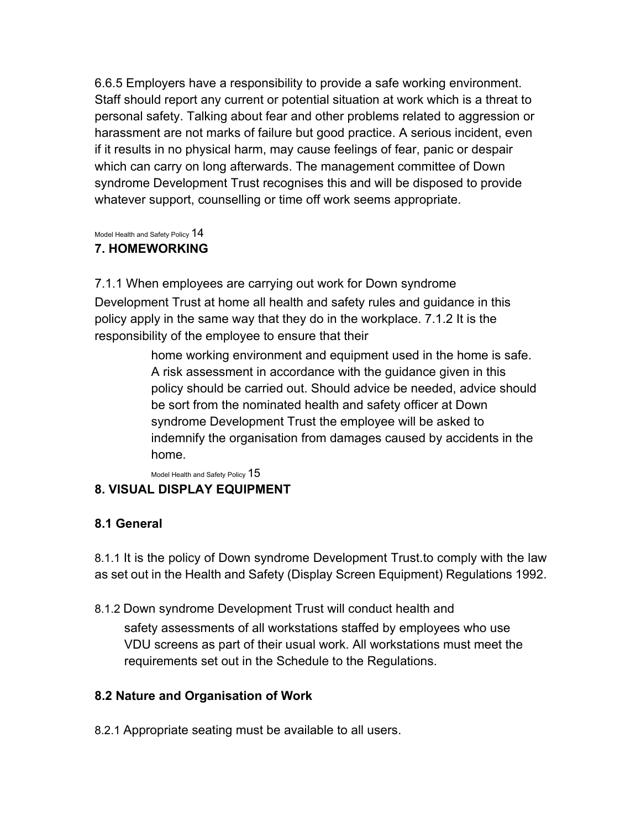6.6.5 Employers have a responsibility to provide a safe working environment. Staff should report any current or potential situation at work which is a threat to personal safety. Talking about fear and other problems related to aggression or harassment are not marks of failure but good practice. A serious incident, even if it results in no physical harm, may cause feelings of fear, panic or despair which can carry on long afterwards. The management committee of Down syndrome Development Trust recognises this and will be disposed to provide whatever support, counselling or time off work seems appropriate.

Model Health and Safety Policy 14

# **7. HOMEWORKING**

7.1.1 When employees are carrying out work for Down syndrome Development Trust at home all health and safety rules and guidance in this policy apply in the same way that they do in the workplace. 7.1.2 It is the responsibility of the employee to ensure that their

> home working environment and equipment used in the home is safe. A risk assessment in accordance with the guidance given in this policy should be carried out. Should advice be needed, advice should be sort from the nominated health and safety officer at Down syndrome Development Trust the employee will be asked to indemnify the organisation from damages caused by accidents in the home.

Model Health and Safety Policy  $15$ **8. VISUAL DISPLAY EQUIPMENT** 

# **8.1 General**

8.1.1 It is the policy of Down syndrome Development Trust.to comply with the law as set out in the Health and Safety (Display Screen Equipment) Regulations 1992.

8.1.2 Down syndrome Development Trust will conduct health and

safety assessments of all workstations staffed by employees who use VDU screens as part of their usual work. All workstations must meet the requirements set out in the Schedule to the Regulations.

# **8.2 Nature and Organisation of Work**

8.2.1 Appropriate seating must be available to all users.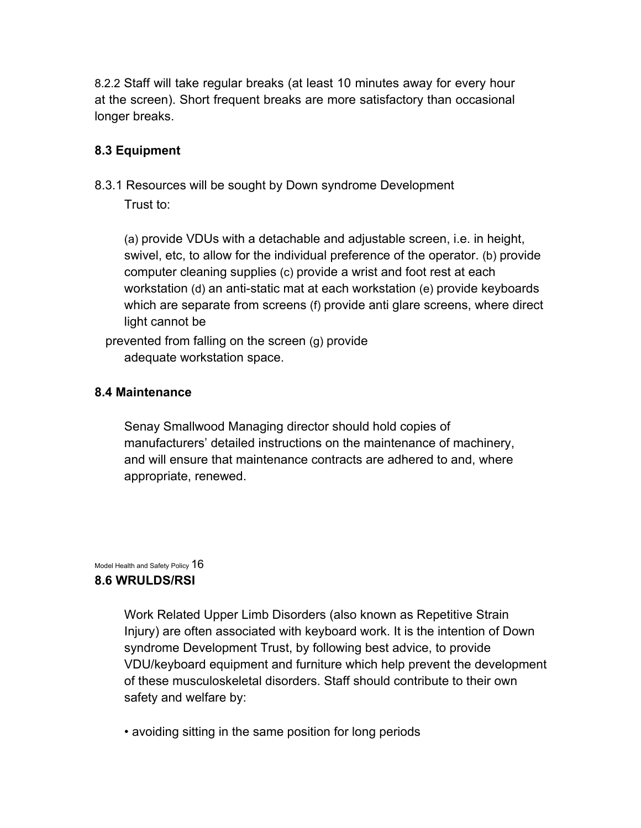8.2.2 Staff will take regular breaks (at least 10 minutes away for every hour at the screen). Short frequent breaks are more satisfactory than occasional longer breaks.

### **8.3 Equipment**

8.3.1 Resources will be sought by Down syndrome Development Trust to:

(a) provide VDUs with a detachable and adjustable screen, i.e. in height, swivel, etc, to allow for the individual preference of the operator. (b) provide computer cleaning supplies (c) provide a wrist and foot rest at each workstation (d) an anti-static mat at each workstation (e) provide keyboards which are separate from screens (f) provide anti glare screens, where direct light cannot be

prevented from falling on the screen (g) provide adequate workstation space.

### **8.4 Maintenance**

Senay Smallwood Managing director should hold copies of manufacturers' detailed instructions on the maintenance of machinery, and will ensure that maintenance contracts are adhered to and, where appropriate, renewed.

Model Health and Safety Policy  $16$ 

# **8.6 WRULDS/RSI**

Work Related Upper Limb Disorders (also known as Repetitive Strain Injury) are often associated with keyboard work. It is the intention of Down syndrome Development Trust, by following best advice, to provide VDU/keyboard equipment and furniture which help prevent the development of these musculoskeletal disorders. Staff should contribute to their own safety and welfare by:

• avoiding sitting in the same position for long periods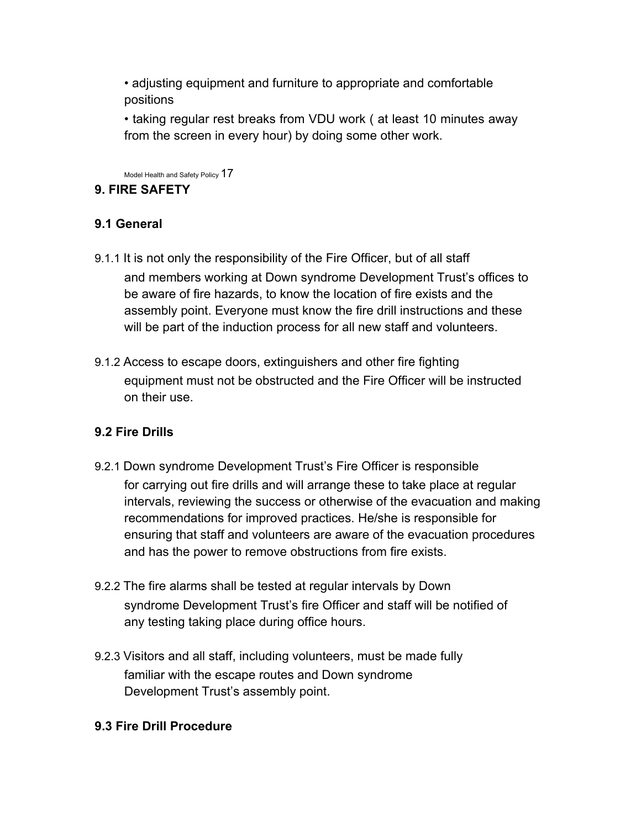• adjusting equipment and furniture to appropriate and comfortable positions

• taking regular rest breaks from VDU work ( at least 10 minutes away from the screen in every hour) by doing some other work.

Model Health and Safety Policy 17

# **9. FIRE SAFETY**

# **9.1 General**

- 9.1.1 It is not only the responsibility of the Fire Officer, but of all staff and members working at Down syndrome Development Trust's offices to be aware of fire hazards, to know the location of fire exists and the assembly point. Everyone must know the fire drill instructions and these will be part of the induction process for all new staff and volunteers.
- 9.1.2 Access to escape doors, extinguishers and other fire fighting equipment must not be obstructed and the Fire Officer will be instructed on their use.

# **9.2 Fire Drills**

- 9.2.1 Down syndrome Development Trust's Fire Officer is responsible for carrying out fire drills and will arrange these to take place at regular intervals, reviewing the success or otherwise of the evacuation and making recommendations for improved practices. He/she is responsible for ensuring that staff and volunteers are aware of the evacuation procedures and has the power to remove obstructions from fire exists.
- 9.2.2 The fire alarms shall be tested at regular intervals by Down syndrome Development Trust's fire Officer and staff will be notified of any testing taking place during office hours.
- 9.2.3 Visitors and all staff, including volunteers, must be made fully familiar with the escape routes and Down syndrome Development Trust's assembly point.

# **9.3 Fire Drill Procedure**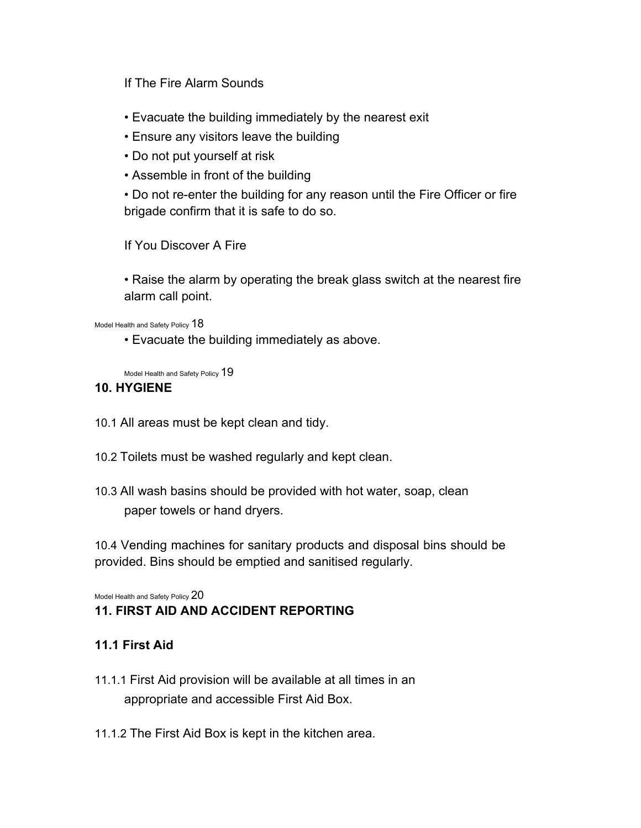### If The Fire Alarm Sounds

- Evacuate the building immediately by the nearest exit
- Ensure any visitors leave the building
- Do not put yourself at risk
- Assemble in front of the building

• Do not re-enter the building for any reason until the Fire Officer or fire brigade confirm that it is safe to do so.

If You Discover A Fire

• Raise the alarm by operating the break glass switch at the nearest fire alarm call point.

Model Health and Safety Policy  $18$ 

• Evacuate the building immediately as above.

Model Health and Safety Policy 19

#### **10. HYGIENE**

- 10.1 All areas must be kept clean and tidy.
- 10.2 Toilets must be washed regularly and kept clean.
- 10.3 All wash basins should be provided with hot water, soap, clean paper towels or hand dryers.

10.4 Vending machines for sanitary products and disposal bins should be provided. Bins should be emptied and sanitised regularly.

Model Health and Safety Policy 20

# **11. FIRST AID AND ACCIDENT REPORTING**

### **11.1 First Aid**

- 11.1.1 First Aid provision will be available at all times in an appropriate and accessible First Aid Box.
- 11.1.2 The First Aid Box is kept in the kitchen area.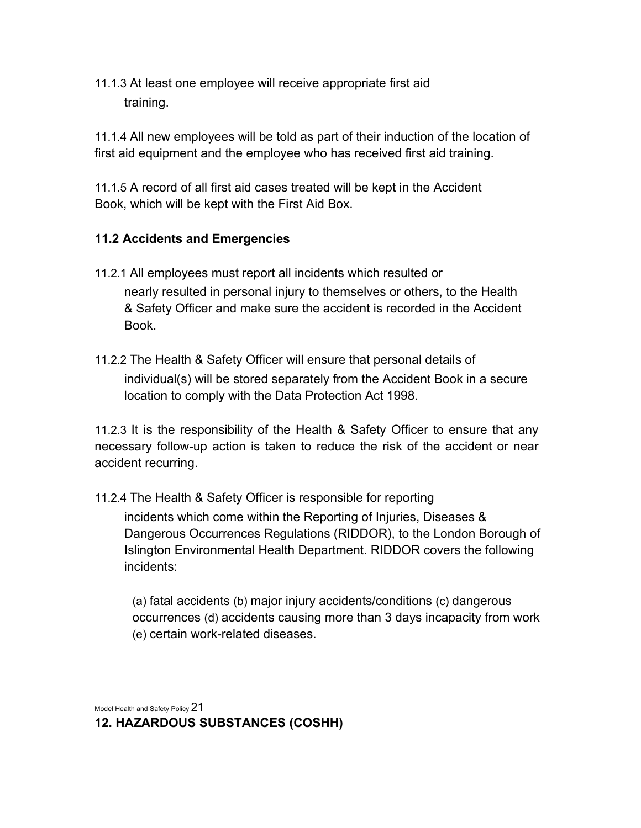11.1.3 At least one employee will receive appropriate first aid training.

11.1.4 All new employees will be told as part of their induction of the location of first aid equipment and the employee who has received first aid training.

11.1.5 A record of all first aid cases treated will be kept in the Accident Book, which will be kept with the First Aid Box.

# **11.2 Accidents and Emergencies**

- 11.2.1 All employees must report all incidents which resulted or nearly resulted in personal injury to themselves or others, to the Health & Safety Officer and make sure the accident is recorded in the Accident Book.
- 11.2.2 The Health & Safety Officer will ensure that personal details of individual(s) will be stored separately from the Accident Book in a secure location to comply with the Data Protection Act 1998.

11.2.3 It is the responsibility of the Health & Safety Officer to ensure that any necessary follow-up action is taken to reduce the risk of the accident or near accident recurring.

11.2.4 The Health & Safety Officer is responsible for reporting

incidents which come within the Reporting of Injuries, Diseases & Dangerous Occurrences Regulations (RIDDOR), to the London Borough of Islington Environmental Health Department. RIDDOR covers the following incidents:

(a) fatal accidents (b) major injury accidents/conditions (c) dangerous occurrences (d) accidents causing more than 3 days incapacity from work (e) certain work-related diseases.

Model Health and Safety Policy 21

**12. HAZARDOUS SUBSTANCES (COSHH)**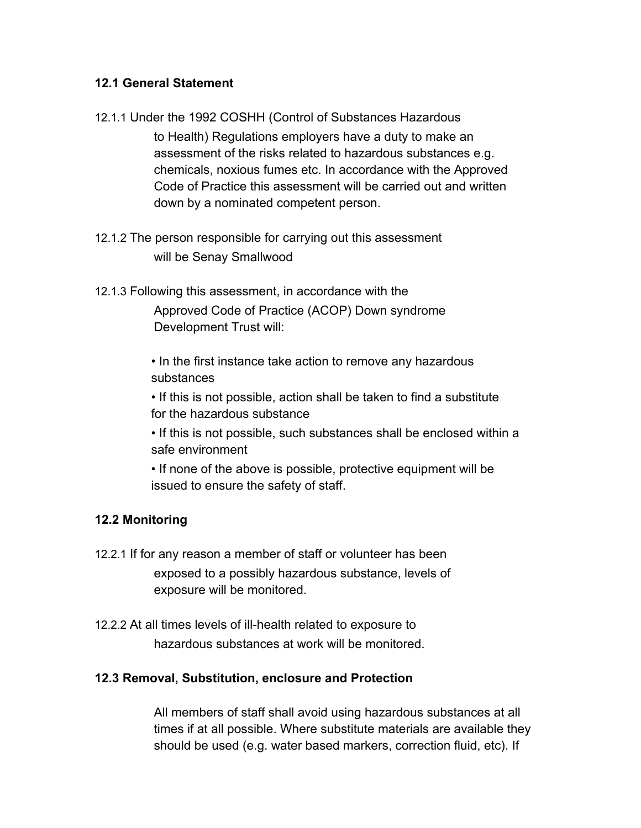### **12.1 General Statement**

- 12.1.1 Under the 1992 COSHH (Control of Substances Hazardous to Health) Regulations employers have a duty to make an assessment of the risks related to hazardous substances e.g. chemicals, noxious fumes etc. In accordance with the Approved Code of Practice this assessment will be carried out and written down by a nominated competent person.
- 12.1.2 The person responsible for carrying out this assessment will be Senay Smallwood
- 12.1.3 Following this assessment, in accordance with the Approved Code of Practice (ACOP) Down syndrome Development Trust will:
	- In the first instance take action to remove any hazardous substances
	- If this is not possible, action shall be taken to find a substitute for the hazardous substance
	- If this is not possible, such substances shall be enclosed within a safe environment
	- If none of the above is possible, protective equipment will be issued to ensure the safety of staff.

# **12.2 Monitoring**

- 12.2.1 If for any reason a member of staff or volunteer has been exposed to a possibly hazardous substance, levels of exposure will be monitored.
- 12.2.2 At all times levels of ill-health related to exposure to hazardous substances at work will be monitored.

# **12.3 Removal, Substitution, enclosure and Protection**

All members of staff shall avoid using hazardous substances at all times if at all possible. Where substitute materials are available they should be used (e.g. water based markers, correction fluid, etc). If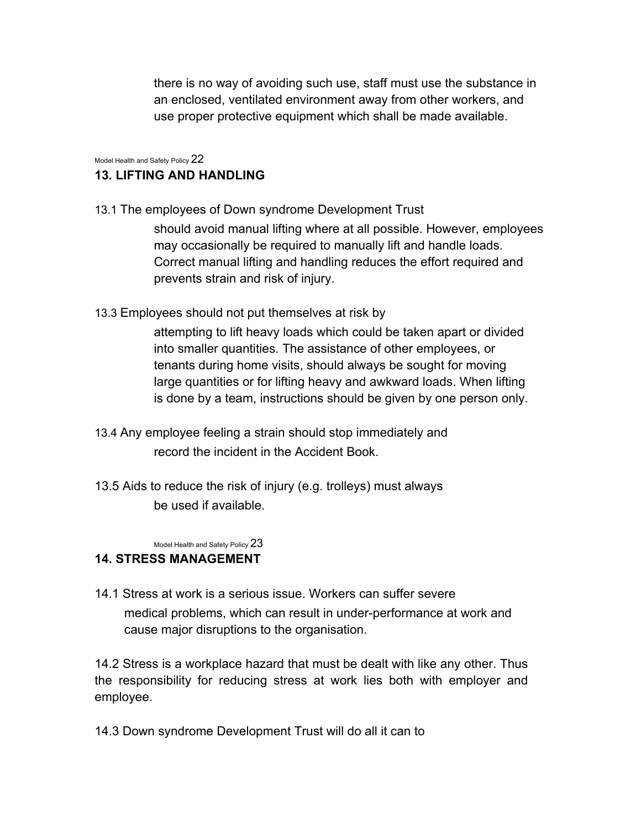there is no way of avoiding such use, staff must use the substance in an enclosed, ventilated environment away from other workers, and use proper protective equipment which shall be made available.

Model Health and Safety Policy 22

# **13. LIFTING AND HANDLING**

- 13.1 The employees of Down syndrome Development Trust should avoid manual lifting where at all possible. However, employees may occasionally be required to manually lift and handle loads. Correct manual lifting and handling reduces the effort required and prevents strain and risk of injury.
- 13.3 Employees should not put themselves at risk by

attempting to lift heavy loads which could be taken apart or divided into smaller quantities. The assistance of other employees, or tenants during home visits, should always be sought for moving large quantities or for lifting heavy and awkward loads. When lifting is done by a team, instructions should be given by one person only.

- 13.4 Any employee feeling a strain should stop immediately and record the incident in the Accident Book.
- 13.5 Aids to reduce the risk of injury (e.g. trolleys) must always be used if available.

Model Health and Safety Policy 23

# **14. STRESS MANAGEMENT**

14.1 Stress at work is a serious issue. Workers can suffer severe medical problems, which can result in under-performance at work and cause major disruptions to the organisation.

14.2 Stress is a workplace hazard that must be dealt with like any other. Thus the responsibility for reducing stress at work lies both with employer and employee.

14.3 Down syndrome Development Trust will do all it can to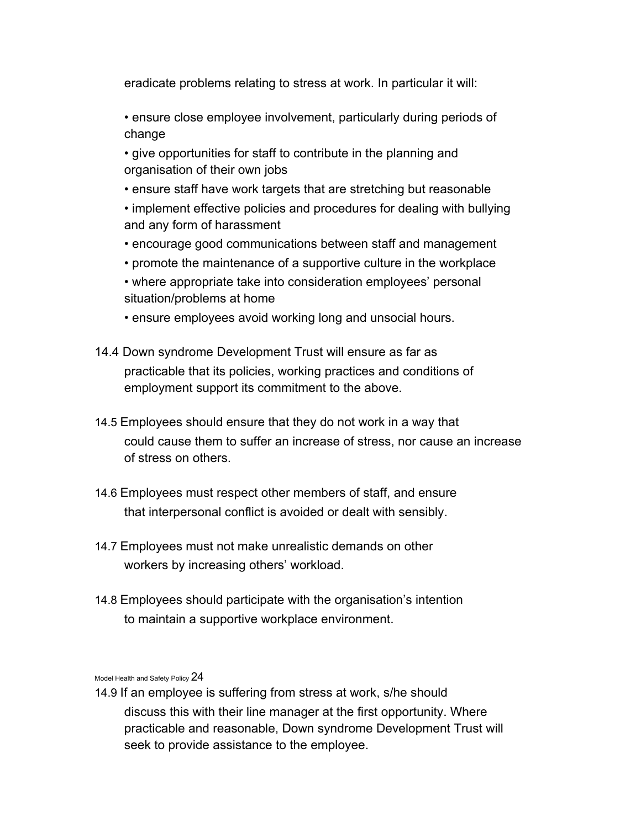eradicate problems relating to stress at work. In particular it will:

- ensure close employee involvement, particularly during periods of change
- give opportunities for staff to contribute in the planning and organisation of their own jobs
- ensure staff have work targets that are stretching but reasonable
- implement effective policies and procedures for dealing with bullying and any form of harassment
- encourage good communications between staff and management
- promote the maintenance of a supportive culture in the workplace
- where appropriate take into consideration employees' personal situation/problems at home
- ensure employees avoid working long and unsocial hours.
- 14.4 Down syndrome Development Trust will ensure as far as practicable that its policies, working practices and conditions of employment support its commitment to the above.
- 14.5 Employees should ensure that they do not work in a way that could cause them to suffer an increase of stress, nor cause an increase of stress on others.
- 14.6 Employees must respect other members of staff, and ensure that interpersonal conflict is avoided or dealt with sensibly.
- 14.7 Employees must not make unrealistic demands on other workers by increasing others' workload.
- 14.8 Employees should participate with the organisation's intention to maintain a supportive workplace environment.

Model Health and Safety Policy 24

14.9 If an employee is suffering from stress at work, s/he should discuss this with their line manager at the first opportunity. Where practicable and reasonable, Down syndrome Development Trust will seek to provide assistance to the employee.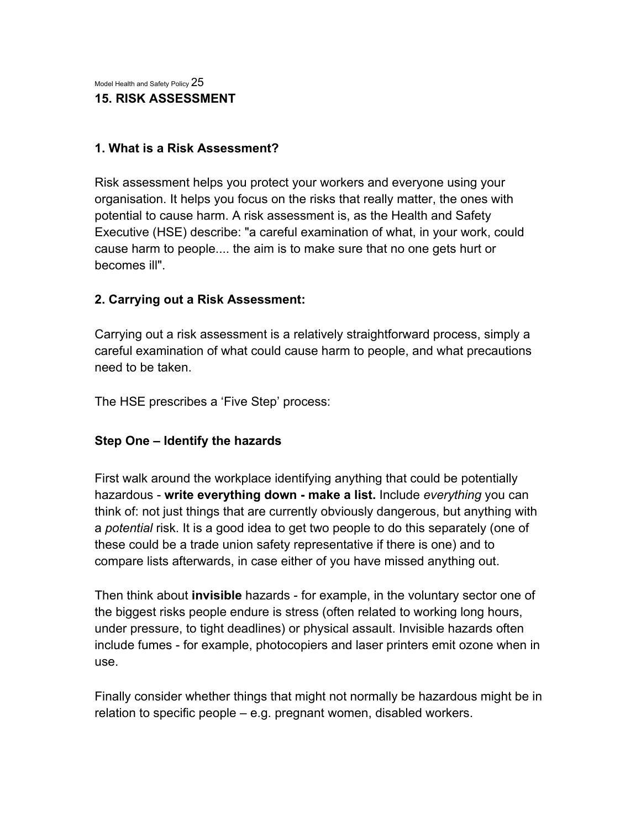Model Health and Safety Policy 25 **15. RISK ASSESSMENT** 

### **1. What is a Risk Assessment?**

Risk assessment helps you protect your workers and everyone using your organisation. It helps you focus on the risks that really matter, the ones with potential to cause harm. A risk assessment is, as the Health and Safety Executive (HSE) describe: "a careful examination of what, in your work, could cause harm to people.... the aim is to make sure that no one gets hurt or becomes ill".

### **2. Carrying out a Risk Assessment:**

Carrying out a risk assessment is a relatively straightforward process, simply a careful examination of what could cause harm to people, and what precautions need to be taken.

The HSE prescribes a 'Five Step' process:

# **Step One – Identify the hazards**

First walk around the workplace identifying anything that could be potentially hazardous - **write everything down - make a list.** Include *everything* you can think of: not just things that are currently obviously dangerous, but anything with a *potential* risk. It is a good idea to get two people to do this separately (one of these could be a trade union safety representative if there is one) and to compare lists afterwards, in case either of you have missed anything out.

Then think about **invisible** hazards - for example, in the voluntary sector one of the biggest risks people endure is stress (often related to working long hours, under pressure, to tight deadlines) or physical assault. Invisible hazards often include fumes - for example, photocopiers and laser printers emit ozone when in use.

Finally consider whether things that might not normally be hazardous might be in relation to specific people – e.g. pregnant women, disabled workers.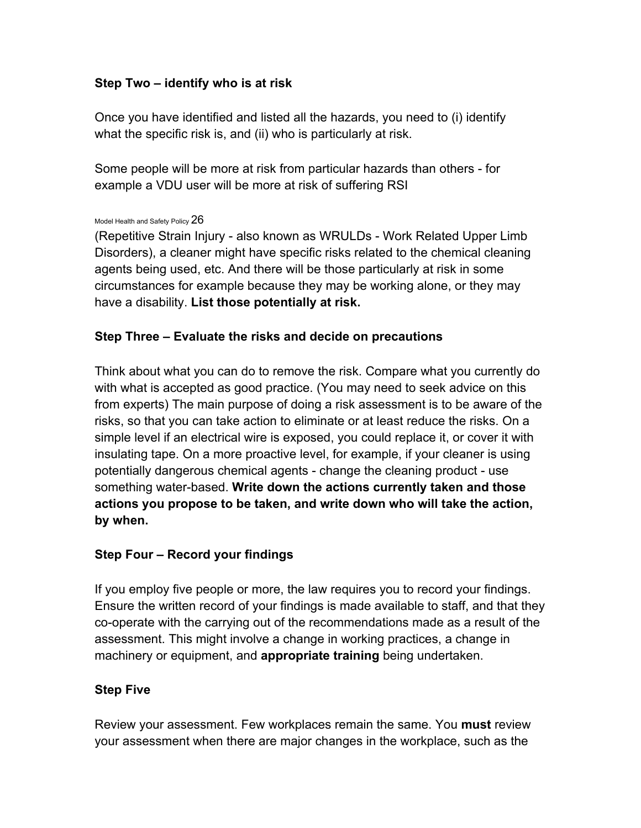# **Step Two – identify who is at risk**

Once you have identified and listed all the hazards, you need to (i) identify what the specific risk is, and (ii) who is particularly at risk.

Some people will be more at risk from particular hazards than others - for example a VDU user will be more at risk of suffering RSI

#### Model Health and Safety Policy  $26$

(Repetitive Strain Injury - also known as WRULDs - Work Related Upper Limb Disorders), a cleaner might have specific risks related to the chemical cleaning agents being used, etc. And there will be those particularly at risk in some circumstances for example because they may be working alone, or they may have a disability. **List those potentially at risk.** 

# **Step Three – Evaluate the risks and decide on precautions**

Think about what you can do to remove the risk. Compare what you currently do with what is accepted as good practice. (You may need to seek advice on this from experts) The main purpose of doing a risk assessment is to be aware of the risks, so that you can take action to eliminate or at least reduce the risks. On a simple level if an electrical wire is exposed, you could replace it, or cover it with insulating tape. On a more proactive level, for example, if your cleaner is using potentially dangerous chemical agents - change the cleaning product - use something water-based. **Write down the actions currently taken and those actions you propose to be taken, and write down who will take the action, by when.** 

# **Step Four – Record your findings**

If you employ five people or more, the law requires you to record your findings. Ensure the written record of your findings is made available to staff, and that they co-operate with the carrying out of the recommendations made as a result of the assessment. This might involve a change in working practices, a change in machinery or equipment, and **appropriate training** being undertaken.

# **Step Five**

Review your assessment. Few workplaces remain the same. You **must** review your assessment when there are major changes in the workplace, such as the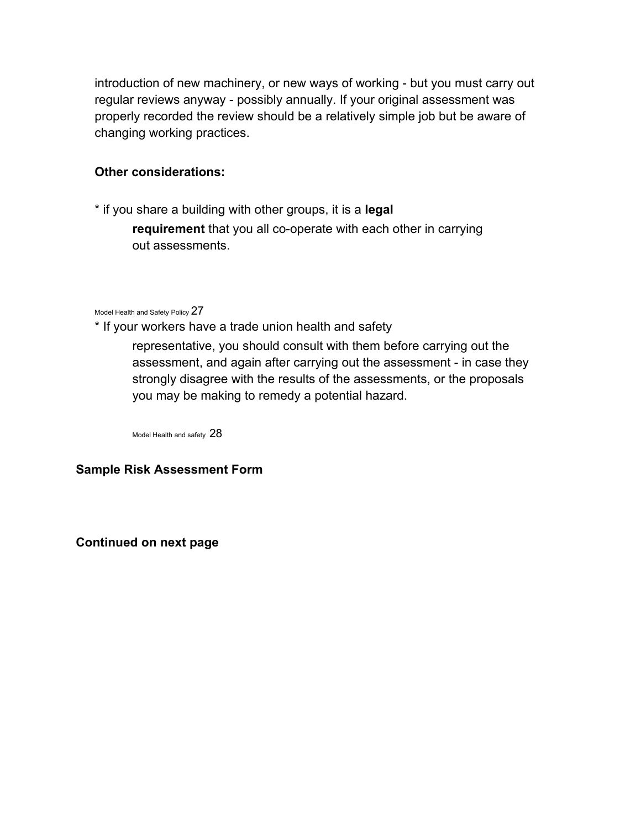introduction of new machinery, or new ways of working - but you must carry out regular reviews anyway - possibly annually. If your original assessment was properly recorded the review should be a relatively simple job but be aware of changing working practices.

# **Other considerations:**

\* if you share a building with other groups, it is a **legal requirement** that you all co-operate with each other in carrying out assessments.

Model Health and Safety Policy 27

\* If your workers have a trade union health and safety

representative, you should consult with them before carrying out the assessment, and again after carrying out the assessment - in case they strongly disagree with the results of the assessments, or the proposals you may be making to remedy a potential hazard.

Model Health and safety 28

### **Sample Risk Assessment Form**

**Continued on next page**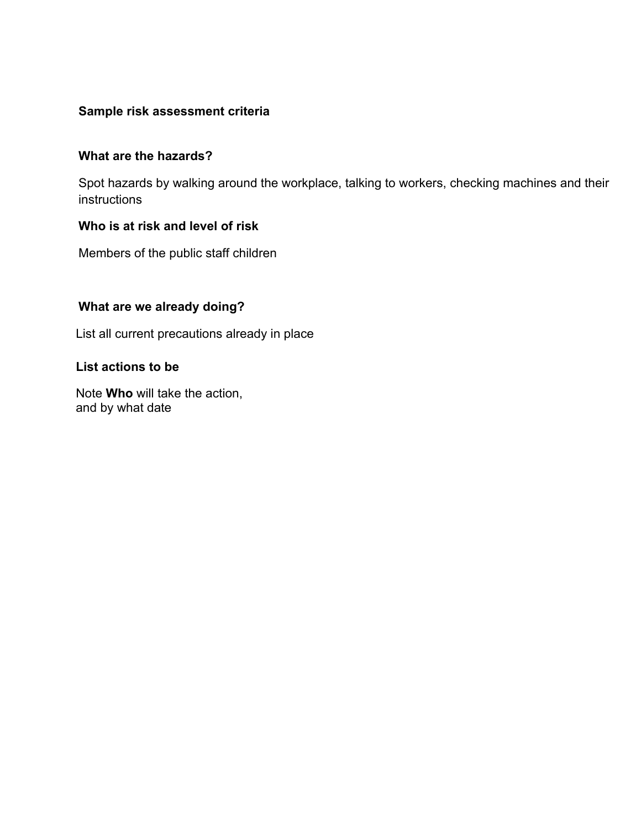# **Sample risk assessment criteria**

### **What are the hazards?**

Spot hazards by walking around the workplace, talking to workers, checking machines and their instructions

# **Who is at risk and level of risk**

Members of the public staff children

# **What are we already doing?**

List all current precautions already in place

### **List actions to be**

Note **Who** will take the action, and by what date